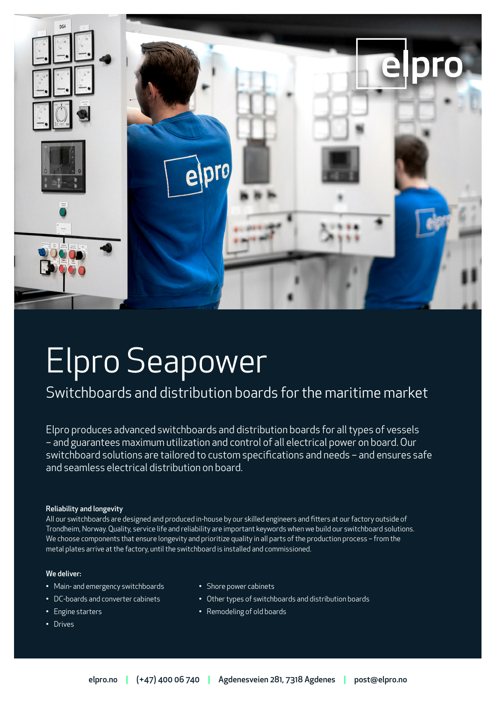

# Elpro Seapower

# Switchboards and distribution boards for the maritime market

Elpro produces advanced switchboards and distribution boards for all types of vessels – and guarantees maximum utilization and control of all electrical power on board. Our switchboard solutions are tailored to custom specifications and needs – and ensures safe and seamless electrical distribution on board.

### Reliability and longevity

All our switchboards are designed and produced in-house by our skilled engineers and fitters at our factory outside of Trondheim, Norway. Quality, service life and reliability are important keywords when we build our switchboard solutions. We choose components that ensure longevity and prioritize quality in all parts of the production process – from the metal plates arrive at the factory, until the switchboard is installed and commissioned.

### We deliver:

- Main- and emergency switchboards
- DC-boards and converter cabinets
- Engine starters
- Drives
- Shore power cabinets
- Other types of switchboards and distribution boards
- Remodeling of old boards